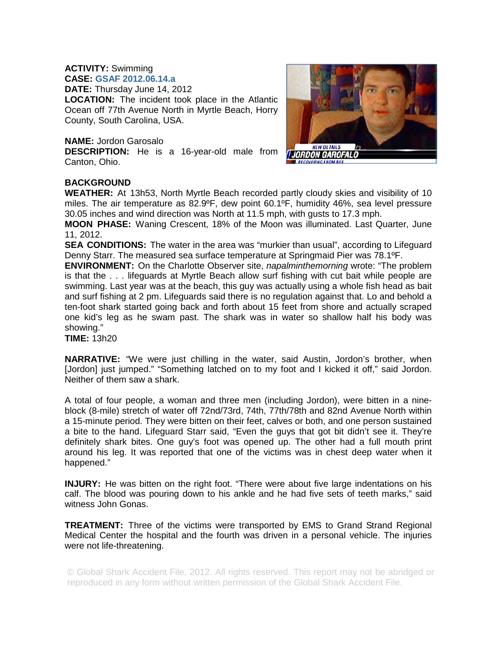## **ACTIVITY:** Swimming

**CASE: GSAF 2012.06.14.a DATE:** Thursday June 14, 2012 **LOCATION:** The incident took place in the Atlantic Ocean off 77th Avenue North in Myrtle Beach, Horry County, South Carolina, USA.

## **NAME:** Jordon Garosalo

**DESCRIPTION:** He is a 16-year-old male from Canton, Ohio.



## **BACKGROUND**

**WEATHER:** At 13h53, North Myrtle Beach recorded partly cloudy skies and visibility of 10 miles. The air temperature as 82.9ºF, dew point 60.1ºF, humidity 46%, sea level pressure 30.05 inches and wind direction was North at 11.5 mph, with gusts to 17.3 mph.

**MOON PHASE:** Waning Crescent, 18% of the Moon was illuminated. Last Quarter, June 11, 2012.

**SEA CONDITIONS:** The water in the area was "murkier than usual", according to Lifeguard Denny Starr. The measured sea surface temperature at Springmaid Pier was 78.1ºF.

**ENVIRONMENT:** On the Charlotte Observer site, *napalminthemorning* wrote: "The problem is that the . . . lifeguards at Myrtle Beach allow surf fishing with cut bait while people are swimming. Last year was at the beach, this guy was actually using a whole fish head as bait and surf fishing at 2 pm. Lifeguards said there is no regulation against that. Lo and behold a ten-foot shark started going back and forth about 15 feet from shore and actually scraped one kid's leg as he swam past. The shark was in water so shallow half his body was showing."

**TIME:** 13h20

**NARRATIVE:** "We were just chilling in the water, said Austin, Jordon's brother, when [Jordon] just jumped." "Something latched on to my foot and I kicked it off," said Jordon. Neither of them saw a shark.

A total of four people, a woman and three men (including Jordon), were bitten in a nineblock (8-mile) stretch of water off 72nd/73rd, 74th, 77th/78th and 82nd Avenue North within a 15-minute period. They were bitten on their feet, calves or both, and one person sustained a bite to the hand. Lifeguard Starr said, "Even the guys that got bit didn't see it. They're definitely shark bites. One guy's foot was opened up. The other had a full mouth print around his leg. It was reported that one of the victims was in chest deep water when it happened."

**INJURY:** He was bitten on the right foot. "There were about five large indentations on his calf. The blood was pouring down to his ankle and he had five sets of teeth marks," said witness John Gonas.

**TREATMENT:** Three of the victims were transported by EMS to Grand Strand Regional Medical Center the hospital and the fourth was driven in a personal vehicle. The injuries were not life-threatening.

© Global Shark Accident File, 2012. All rights reserved. This report may not be abridged or reproduced in any form without written permission of the Global Shark Accident File.